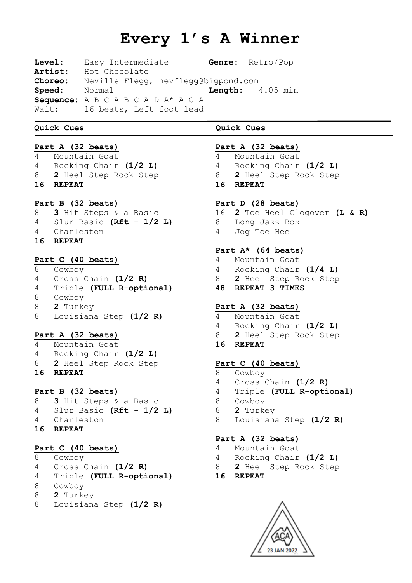# **Every 1's A Winner**

**Level:** Easy Intermediate **Genre:** Retro/Pop **Artist:** Hot Chocolate **Choreo:** Neville Flegg, nevflegg@bigpond.com **Speed:** Normal **Length:** 4.05 min **Sequence:** A B C A B C A D A\* A C A Wait: 16 beats, Left foot lead

# **Quick Cues Quick Cues**

# **Part A (32 beats)**

 Mountain Goat Rocking Chair **(1/2 L) 2** Heel Step Rock Step **REPEAT**

### **Part B (32 beats)**

 **3** Hit Steps & a Basic Slur Basic **(Rft - 1/2 L)** Charleston **REPEAT**

# **Part C (40 beats)**

 Cowboy Cross Chain **(1/2 R)** Triple **(FULL R-optional) 48 REPEAT 3 TIMES** 8 Cowboy **2** Turkey 8 Louisiana Step **(1/2 R)**

# **Part A (32 beats)**

|   | 16 REPEAT               |  |  |  |  |  |  |  |
|---|-------------------------|--|--|--|--|--|--|--|
|   | 8 2 Heel Step Rock Step |  |  |  |  |  |  |  |
| 4 | Rocking Chair $(1/2 L)$ |  |  |  |  |  |  |  |
| 4 | Mountain Goat           |  |  |  |  |  |  |  |

## **Part B (32 beats)**

 **3** Hit Steps & a Basic Slur Basic **(Rft - 1/2 L)** Charleston **REPEAT**

# **Part C (40 beats)**

 Cowboy Cross Chain **(1/2 R)** Triple **(FULL R-optional) 16 REPEAT**8 Cowboy **2** Turkey 8 Louisiana Step **(1/2 R)**

# **Part A (32 beats)**

- Mountain Goat
- Rocking Chair **(1/2 L)**
- **2** Heel Step Rock Step
- **REPEAT**

### **Part D (28 beats)**

- **2** Toe Heel Clogover **(L & R)** Long Jazz Box Jog Toe Heel
	-

# **Part A\* (64 beats)**

- Mountain Goat
- Rocking Chair **(1/4 L)**
- **2** Heel Step Rock Step
	-

# **Part A (32 beats)**

- Mountain Goat
- Rocking Chair **(1/2 L)**
- **2** Heel Step Rock Step
- **REPEAT**

### **Part C (40 beats)**

- Cowboy
- Cross Chain **(1/2 R)**
- Triple **(FULL R-optional)**
- 8 Cowboy
- **2** Turkey
	- 8 Louisiana Step **(1/2 R)**

# **Part A (32 beats)**

- Mountain Goat
- Rocking Chair **(1/2 L)**
- **2** Heel Step Rock Step
	-